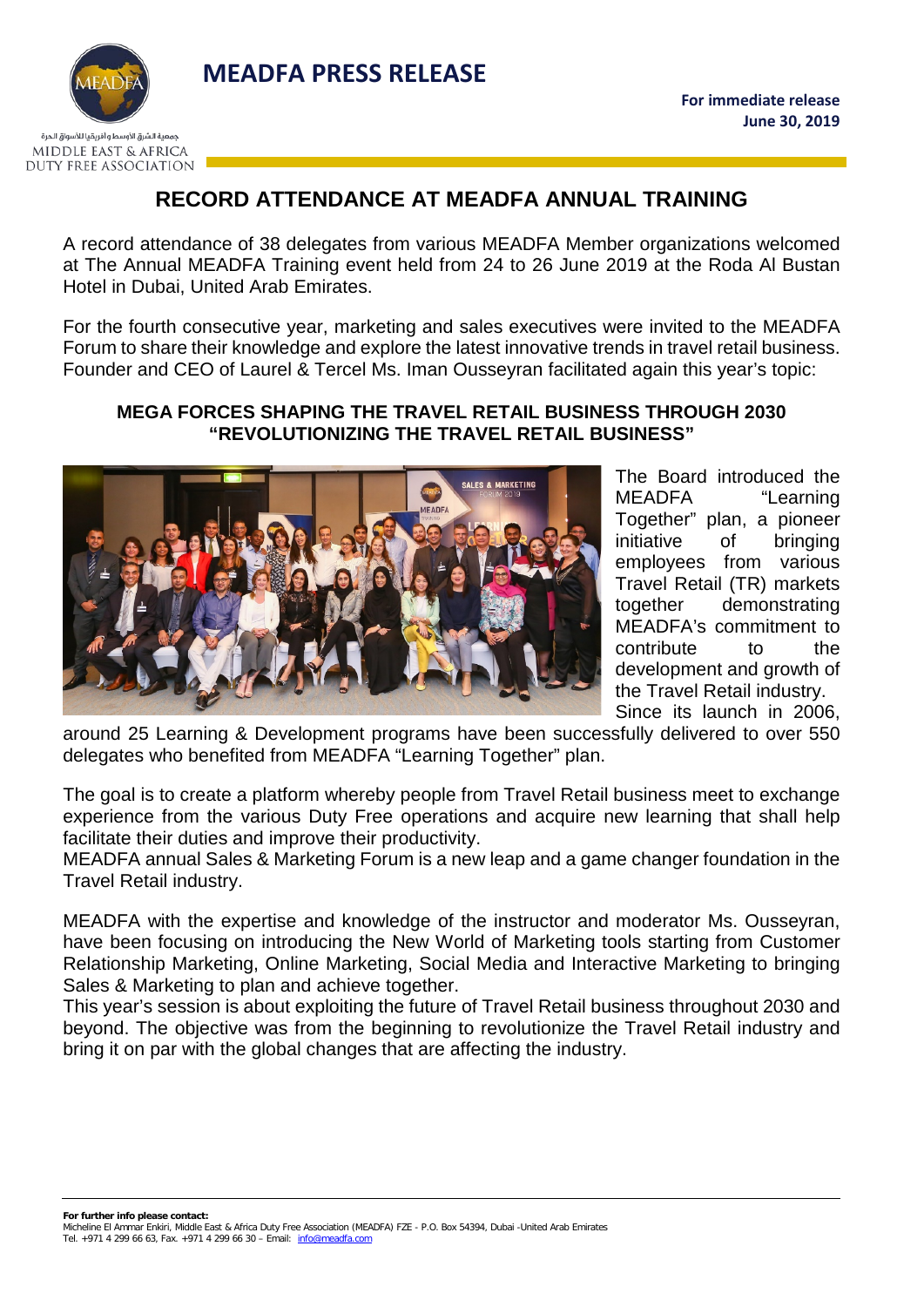



## **RECORD ATTENDANCE AT MEADFA ANNUAL TRAINING**

A record attendance of 38 delegates from various MEADFA Member organizations welcomed at The Annual MEADFA Training event held from 24 to 26 June 2019 at the Roda Al Bustan Hotel in Dubai, United Arab Emirates.

For the fourth consecutive year, marketing and sales executives were invited to the MEADFA Forum to share their knowledge and explore the latest innovative trends in travel retail business. Founder and CEO of Laurel & Tercel Ms. Iman Ousseyran facilitated again this year's topic:

## **MEGA FORCES SHAPING THE TRAVEL RETAIL BUSINESS THROUGH 2030 "REVOLUTIONIZING THE TRAVEL RETAIL BUSINESS"**



The Board introduced the MEADFA "Learning Together" plan, a pioneer initiative of bringing employees from various Travel Retail (TR) markets together demonstrating MEADFA's commitment to contribute to the development and growth of the Travel Retail industry. Since its launch in 2006,

around 25 Learning & Development programs have been successfully delivered to over 550 delegates who benefited from MEADFA "Learning Together" plan.

The goal is to create a platform whereby people from Travel Retail business meet to exchange experience from the various Duty Free operations and acquire new learning that shall help facilitate their duties and improve their productivity.

MEADFA annual Sales & Marketing Forum is a new leap and a game changer foundation in the Travel Retail industry.

MEADFA with the expertise and knowledge of the instructor and moderator Ms. Ousseyran, have been focusing on introducing the New World of Marketing tools starting from Customer Relationship Marketing, Online Marketing, Social Media and Interactive Marketing to bringing Sales & Marketing to plan and achieve together.

This year's session is about exploiting the future of Travel Retail business throughout 2030 and beyond. The objective was from the beginning to revolutionize the Travel Retail industry and bring it on par with the global changes that are affecting the industry.